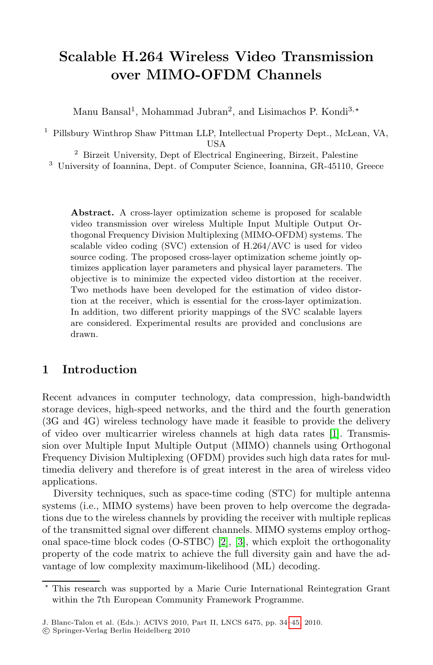# **Scalable H.264 Wireless Video Transmission over MIMO-OFDM Channels**

Manu Bansal<sup>1</sup>, Mohammad Jubran<sup>2</sup>, and Lisimachos P. Kondi<sup>3,\*</sup>

<sup>1</sup> Pillsbury Winthrop Shaw Pittman LLP, Intellectual Property Dept., McLean, VA, **USA** 

<sup>2</sup> Birzeit University, Dept of Electrical Engineering, Birzeit, Palestine

<sup>3</sup> University of Ioannina, Dept. of Computer Science, Ioannina, GR-45110, Greece

**Abstract.** A cross-layer optimization scheme is proposed for scalable video transmission over wireless Multiple Input Multiple Output Orthogonal Frequency Division Multiplexing (MIMO-OFDM) systems. The scalable video coding (SVC) extension of H.264/AVC is used for video source coding. The proposed cross-layer optimization scheme jointly optimizes application layer parameters and physical layer parameters. The objective is to minimize the expected video distortion at the receiver. Two methods have been developed for the estimation of video distortion at the receiver, which is essential for the cross-layer optimization. In addition, two different priority mappings of the SVC scalable layers are considered. Experimental results are provided and conclusions are drawn.

# **1 Introduction**

Recent advances in computer technology, data compression, high-bandwidth storage devices, high-speed networks, and the third and the fourth generation (3G and 4G) wireless technology have made it feasible to provide the delivery of video over multicarrier wireless channels at high data rates [1]. Transmission over Multiple In[pu](#page-10-0)t [M](#page-10-1)ultiple Output (MIMO) channels using Orthogonal Frequency Division Multiplexing (OFDM) provides such high data rates for multimedia delivery and therefore is of great interest in the area of wireless video applications.

Diversity techniques, such as space-time coding (STC) for multiple antenna systems (i.e., MIMO systems) have been proven to help overcome the degradations due to the wireless channels by providing the receiver with multiple replicas of the transmitted signal over differen[t ch](#page-11-0)annels. MIMO systems employ orthogonal space-time block codes (O-STBC) [2], [3], which exploit the orthogonality property of the code matrix to achieve the full diversity gain and have the advantage of low complexity maximum-likelihood (ML) decoding.

 $\star$  This research was supported by a Marie Curie International Reintegration Grant within the 7th European Community Framework Programme.

J. Blanc-Talon et al. (Eds.): ACIVS 2010, Part II, LNCS 6475, pp. 34–45, 2010.

<sup>-</sup>c Springer-Verlag Berlin Heidelberg 2010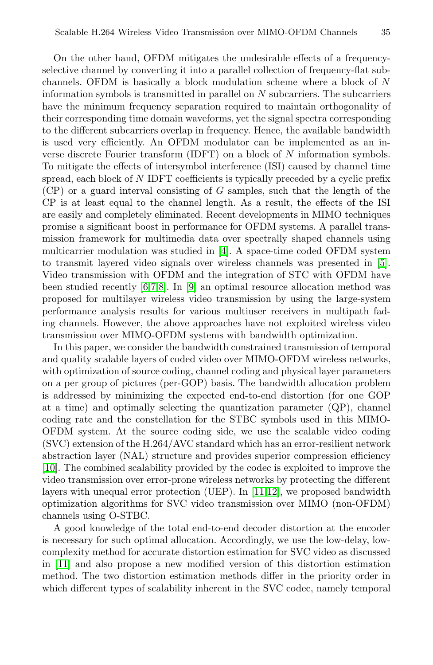On the other hand, OFDM mitigates the undesirable effects of a frequencyselective channel by converting it into a parallel collection of frequency-flat subchannels. OFDM is basically a block modulation scheme where a block of N information symbols is transmitted in parallel on N subcarriers. The subcarriers have the minimum frequency separation required to maintain orthogonality of their corresponding time domain waveforms, yet the signal spectra corresponding to the different subcarriers overlap in frequency. Hence, the available bandwidth is used very efficiently. An OFDM modulator can be implemented as an inverse discrete Fourier [t](#page-10-2)ransform (IDFT) on a block of N information symbols. To mitigate the effects of intersymbol interference (ISI) c[au](#page-10-3)sed by channel time spread, each block of N IDFT coefficients is typically preceded by a cyclic prefix  $(CP)$  $(CP)$  [o](#page-10-5)[r](#page-10-6) a gu[ard](#page-10-7) interval consisting of G samples, such that the length of the CP is at least equal to the channel length. As a result, the effects of the ISI are easily and completely eliminated. Recent developments in MIMO techniques promise a significant boost in performance for OFDM systems. A parallel transmission framework for multimedia data over spectrally shaped channels using multicarrier modulation was studied in [4]. A space-time coded OFDM system to transmit layered video signals over wireless channels was presented in [5]. Video transmission with OFDM and the integration of STC with OFDM have been studied recently [6,7,8]. In [9] an optimal resource allocation method was proposed for multilayer wireless video transmission by using the large-system performance analysis results for various multiuser receivers in multipath fading channels. However, the above approaches have not exploited wireless video transmission over MIMO-OFDM systems with bandwidth optimization.

In this paper, we consider the bandwidth constrained transmission of temporal and quality scalable layers of coded video over MIMO-OFDM wireless networks, with optimization of source coding, channel coding and physical layer parameters on a per group of pictures (per-GOP) basis. The bandwidth allocation problem is addressed by minimizing [the](#page-11-1) [ex](#page-11-2)pected end-to-end distortion (for one GOP at a time) and optimally selecting the quantization parameter (QP), channel coding rate and the constellation for the STBC symbols used in this MIMO-OFDM system. At the source coding side, we use the scalable video coding (SVC) extension of the H.264/AVC standard which has an error-resilient network abstraction layer (NAL) structure and provides superior compression efficiency [10]. The combined scalability provided by the codec is exploited to improve the video transmission over error-prone wireless networks by protecting the different layers with unequal error protection (UEP). In [11,12], we proposed bandwidth optimization algorithms for SVC video transmission over MIMO (non-OFDM) channels using O-STBC.

A good knowledge of the total end-to-end decoder distortion at the encoder is necessary for such optimal allocation. Accordingly, we use the low-delay, lowcomplexity method for accurate distortion estimation for SVC video as discussed in [11] and also propose a new modified version of this distortion estimation method. The two distortion estimation methods differ in the priority order in which different types of scalability inherent in the SVC codec, namely temporal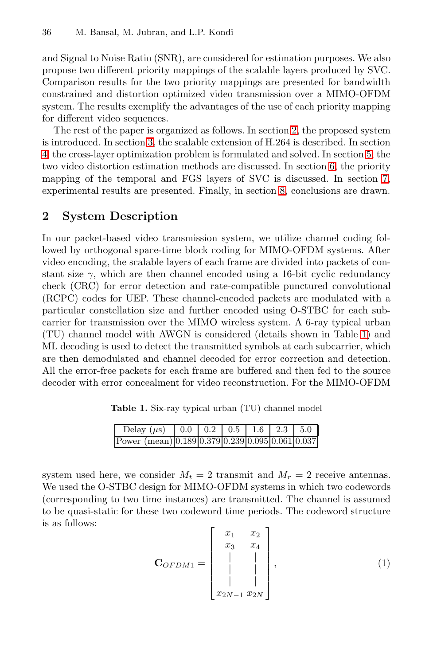and [Sig](#page-3-0)nal to Noise Ratio (SNR), are considered for esti[ma](#page-4-0)tion purposes. We also propose two different priority mappings of the [sc](#page-8-0)alable layers produced by SVC. Comparison results for the two priority mappings are pre[sen](#page-8-1)ted for bandwidth constrained and distortion optimiz[ed](#page-10-8) video transmission over a MIMO-OFDM system. The results exemplify the advantages of the use of each priority mapping for different video sequences.

<span id="page-2-0"></span>The rest of the paper is organized as follows. In section 2, the proposed system is introduced. In section 3, the scalable extension of H.264 is described. In section 4, the cross-layer optimization problem is formulated and solved. In section 5, the two video distortion estimation methods are discussed. In section 6, the priority mapping of the temporal and FGS layers of SVC is discussed. In section 7, experimental results are presented. Finally, in section 8, conclusions are drawn.

### **2 System Description**

<span id="page-2-1"></span>In our packet-based video transmission system, we [uti](#page-2-1)lize channel coding followed by orthogonal space-time block coding for MIMO-OFDM systems. After video encoding, the scalable layers of each frame are divided into packets of constant size  $\gamma$ , which are then channel encoded using a 16-bit cyclic redundancy check (CRC) for error detection and rate-compatible punctured convolutional (RCPC) codes for UEP. These channel-encoded packets are modulated with a particular constellation size and further encoded using O-STBC for each subcarrier for transmission over the MIMO wireless system. A 6-ray typical urban (TU) channel model with AWGN is considered (details shown in Table 1) and ML decoding is used to detect the transmitted symbols at each subcarrier, which are then demodulated and channel decoded for error correction and detection. All the error-free packets for each frame are buffered and then fed to the source decoder with error concealment for video reconstruction. For the MIMO-OFDM

**Table 1.** Six-ray typical urban (TU) channel model

| Delay $(\mu s)$                                  |  |  | $\vert 0.0 \vert 0.2 \vert 0.5 \vert 1.6 \vert 2.3 \vert 5.0 \vert$ |
|--------------------------------------------------|--|--|---------------------------------------------------------------------|
| Power (mean) 0.189 0.379 0.239 0.095 0.061 0.037 |  |  |                                                                     |

system used here, we consider  $M_t = 2$  transmit and  $M_r = 2$  receive antennas. We used the O-STBC design for MIMO-OFDM systems in which two codewords (corresponding to two time instances) are transmitted. The channel is assumed to be quasi-static for these two codeword time periods. The codeword structure is as follows:

$$
\mathbf{C}_{OFDM1} = \begin{bmatrix} x_1 & x_2 \\ x_3 & x_4 \\ \vert & \vert & \vert \\ \vert & \vert & \vert \\ x_{2N-1} & x_{2N} \end{bmatrix}, \qquad (1)
$$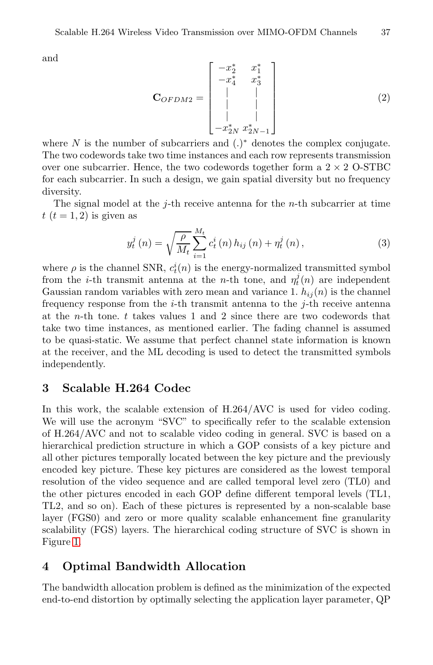and

$$
\mathbf{C}_{OFDM2} = \begin{bmatrix} -x_2^* & x_1^* \\ -x_4^* & x_3^* \\ \vert & \vert \\ \vert & \vert \\ -x_{2N}^* & x_{2N-1}^* \end{bmatrix}
$$
 (2)

where N is the number of subcarriers and  $(.)^*$  denotes the complex conjugate. The two codewords take two time instances and each row represents transmission over one subcarrier. Hence, the two codewords together form a  $2 \times 2$  O-STBC for each subcarrier. In such a design, we gain spatial diversity but no frequency diversity.

The signal model at the j-th receive antenna for the  $n$ -th subcarrier at time  $t (t = 1, 2)$  is given as

$$
y_t^j(n) = \sqrt{\frac{\rho}{M_t}} \sum_{i=1}^{M_t} c_t^i(n) h_{ij}(n) + \eta_t^j(n),
$$
\n(3)

<span id="page-3-0"></span>where  $\rho$  is the channel SNR,  $c_t^i(n)$  is the energy-normalized transmitted symbol from the *i*-th transmit antenna at the *n*-th tone, and  $\eta_t^j(n)$  are independent Gaussian random variables with zero mean and variance 1.  $h_{ij}(n)$  is the channel frequency response from the i-th transmit antenna to the j-th receive antenna at the *n*-th tone.  $t$  takes values 1 and 2 since there are two codewords that take two time instances, as mentioned earlier. The fading channel is assumed to be quasi-static. We assume that perfect channel state information is known at the receiver, and the ML decoding is used to detect the transmitted symbols independently.

# **3 Scalable H.264 Codec**

<span id="page-3-1"></span>In this work, the scalable extension of H.264/AVC is used for video coding. We will use the acronym "SVC" to specifically refer to the scalable extension of H.264/AVC and not to scalable video coding in general. SVC is based on a hierarchical prediction structure in which a GOP consists of a key picture and all other pictures temporally located between the key picture and the previously encoded key picture. These key pictures are considered as the lowest temporal resolution of the video sequence and are called temporal level zero (TL0) and the other pictures encoded in each GOP define different temporal levels (TL1, TL2, and so on). Each of these pictures is represented by a non-scalable base layer (FGS0) and zero or more quality scalable enhancement fine granularity scalability (FGS) layers. The hierarchical coding structure of SVC is shown in Figure 1.

### **4 Optimal Bandwidth Allocation**

The bandwidth allocation problem is defined as the minimization of the expected end-to-end distortion by optimally selecting the application layer parameter, QP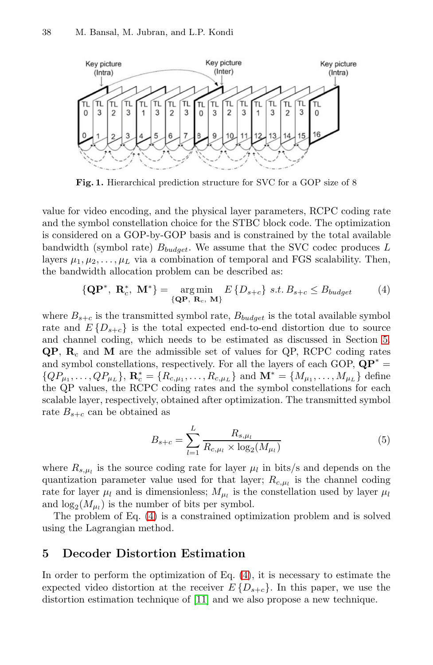#### 38 M. Bansal, M. Jubran, and L.P. Kondi



**Fig. 1.** Hierarchical prediction structure for SVC for a GOP size of 8

<span id="page-4-1"></span>value for video encoding, and the physical layer parameters, RCPC coding rate and the symbol constellation choice for the STBC block code. The optimization is considered on a GOP-by-GOP basis and is constrained by the total available bandwidth (symbol rate)  $B_{budget}$ . We assume that the S[VC](#page-4-0) codec produces L layers  $\mu_1, \mu_2, \ldots, \mu_L$  via a combination of temporal and FGS scalability. Then, the bandwidth allocation problem can be described as:

$$
\{\mathbf{QP}^*, \ \mathbf{R}_c^*, \ \mathbf{M}^*\} = \underset{\{\mathbf{QP}, \ \mathbf{R}_c, \ \mathbf{M}\}}{\text{arg min}} E\{D_{s+c}\} \ s.t. \ B_{s+c} \leq B_{budget} \tag{4}
$$

where  $B_{s+c}$  is the transmitted symbol rate,  $B_{budget}$  is the total available symbol rate and  $E\{D_{s+c}\}\$  is the total expected end-to-end distortion due to source and channel coding, which needs to be estimated as discussed in Section 5.  $QP$ ,  $\mathbf{R}_c$  and  $\mathbf{M}$  are the admissible set of values for QP, RCPC coding rates and symbol constellations, respectively. For all the layers of each GOP,  $QP^*$  =  ${QP_{\mu_1}, \ldots, QP_{\mu_L}}$ ,  $\mathbf{R}_c^* = {R_{c,\mu_1}, \ldots, R_{c,\mu_L}}$  and  $\mathbf{M}^* = {M_{\mu_1}, \ldots, M_{\mu_L}}$  define the QP values, the RCPC coding rates and the symbol constellations for each scalable layer, respectively, obtained after optimization. The transmitted symbol rate  $B_{s+c}$  can be obtained as

$$
B_{s+c} = \sum_{l=1}^{L} \frac{R_{s,\mu_l}}{R_{c,\mu_l} \times \log_2(M_{\mu_l})}
$$
(5)

<span id="page-4-0"></span>where  $R_{s,\mu_l}$  is the source coding rate for layer  $\mu_l$  in bits/s and depends on the quantization parameter v[alu](#page-4-1)e used for that layer;  $R_{c,\mu}$  is the channel coding rate for layer  $\mu_l$  and is dimensionless;  $M_{\mu_l}$  is the constellation used by layer  $\mu_l$ and  $\log_2(M_{\mu_l})$  i[s th](#page-11-1)e number of bits per symbol.

The problem of Eq. (4) is a constrained optimization problem and is solved using the Lagrangian method.

### **5 Decoder Distortion Estimation**

In order to perform the optimization of Eq.  $(4)$ , it is necessary to estimate the expected video distortion at the receiver  $E\{D_{s+c}\}\.$  In this paper, we use the distortion estimation technique of [11] and we also propose a new technique.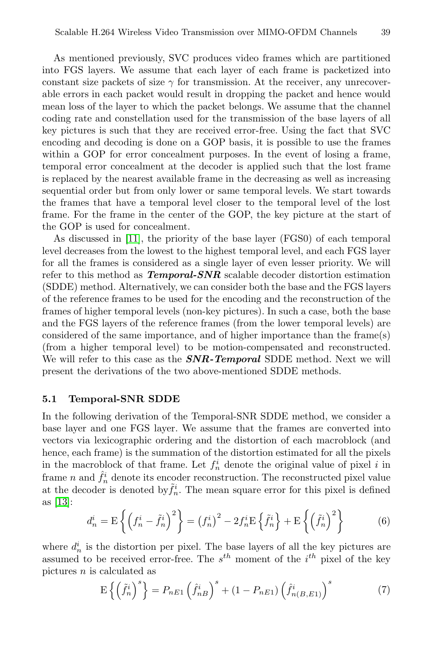As mentioned previously, SVC produces video frames which are partitioned into FGS layers. We assume that each layer of each frame is packetized into constant size packets of size  $\gamma$  for transmission. At the receiver, any unrecoverable errors in each packet would result in dropping the packet and hence would mean loss of the layer to which the packet belongs. We assume that the channel coding rate and constellation used for the transmission of the base layers of all key pictures is such that they are received error-free. Using the fact that SVC [enc](#page-11-1)oding and decoding is done on a GOP basis, it is possible to use the frames within a GOP for error concealment purposes. In the event of losing a frame, temporal error concealment at the decoder is applied such that the lost frame is replaced by the nearest available frame in the decreasing as well as increasing sequential order but from only lower or same temporal levels. We start towards the frames that have a temporal level closer to the temporal level of the lost frame. For the frame in the center of the GOP, the key picture at the start of the GOP is used for concealment.

As discussed in [11], the priority of the base layer (FGS0) of each temporal level decreases from the lowest to the highest temporal level, and each FGS layer for all the frames is considered as a single layer of even lesser priority. We will refer to this method as *Temporal-SNR* scalable decoder distortion estimation (SDDE) method. Alternatively, we can consider both the base and the FGS layers of the reference frames to be used for the encoding and the reconstruction of the frames of higher temporal levels (non-key pictures). In such a case, both the base and the FGS layers of the reference frames (from the lower temporal levels) are considered of the same importance, and of higher importance than the frame(s) (from a higher temporal level) to be motion-compensated and reconstructed. We will refer to this case as the *SNR-Temporal* SDDE method. Next we will present the derivations of the two above-mentioned SDDE methods.

#### **5.1 Temporal-SNR SDDE**

In the following derivation of the Temporal-SNR SDDE method, we consider a base layer and one FGS layer. We assume that the frames are converted into vectors via lexicographic ordering and the distortion of each macroblock (and hence, each frame) is the summation of the distortion estimated for all the pixels in the macroblock of that frame. Let  $f_n^i$  denote the original value of pixel i in frame *n* and  $\hat{f}_n^i$  denote its encoder reconstruction. The reconstructed pixel value at the decoder is denoted by  $\tilde{f}_n^i$ . The mean square error for this pixel is defined as [13]:

$$
d_n^i = \mathcal{E}\left\{ \left( f_n^i - \tilde{f}_n^i \right)^2 \right\} = \left( f_n^i \right)^2 - 2f_n^i \mathcal{E}\left\{ \tilde{f}_n^i \right\} + \mathcal{E}\left\{ \left( \tilde{f}_n^i \right)^2 \right\} \tag{6}
$$

<span id="page-5-0"></span>where  $d_n^i$  is the distortion per pixel. The base layers of all the key pictures are assumed to be received error-free. The  $s^{th}$  moment of the  $i^{th}$  pixel of the key pictures n is calculated as

$$
\mathcal{E}\left\{ \left(\tilde{f}_{n}^{i}\right)^{s}\right\} = P_{nE1} \left(\hat{f}_{nB}^{i}\right)^{s} + \left(1 - P_{nE1}\right) \left(\hat{f}_{n(B,E1)}^{i}\right)^{s} \tag{7}
$$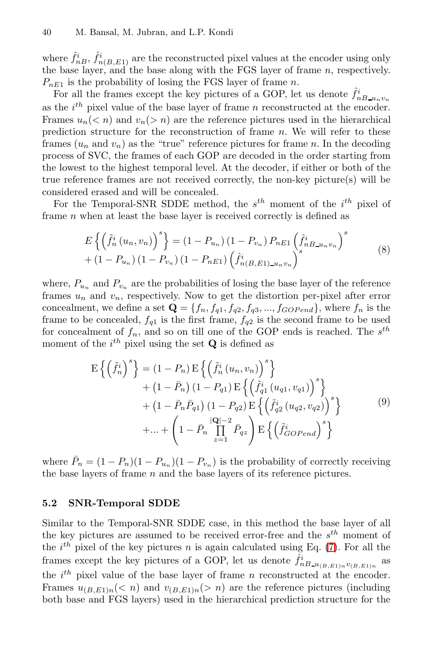#### 40 M. Bansal, M. Jubran, and L.P. Kondi

where  $\hat{f}_{nB}^i$ ,  $\hat{f}_{n(B,E1)}^i$  are the reconstructed pixel values at the encoder using only the base layer, and the base along with the FGS layer of frame n, respectively.  $P_{nE1}$  is the probability of losing the FGS layer of frame n.

For all the frames except the key pictures of a GOP, let us denote  $\hat{f}_{nB_u}^i$ <sub>*n*</sub> $v_n$ </sub> as the  $i^{th}$  pixel value of the base layer of frame n reconstructed at the encoder. Frames  $u_n(< n)$  and  $v_n(> n)$  are the reference pictures used in the hierarchical prediction structure for the reconstruction of frame  $n$ . We will refer to these frames  $(u_n$  and  $v_n$ ) as the "true" reference pictures for frame n. In the decoding process of SVC, the frames of each GOP are decoded in the order starting from the lowest to the highest temporal level. At the decoder, if either or both of the true reference frames are not received correctly, the non-key picture(s) will be considered erased and will be concealed.

For the Temporal-SNR SDDE method, the  $s^{th}$  moment of the  $i^{th}$  pixel of frame  $n$  when at least the base layer is received correctly is defined as

$$
E\left\{ \left( \tilde{f}_n^i \left( u_n, v_n \right) \right)^s \right\} = \left( 1 - P_{u_n} \right) \left( 1 - P_{v_n} \right) P_{nE1} \left( \hat{f}_{nB \_{u_n} v_n}^i \right)^s + \left( 1 - P_{u_n} \right) \left( 1 - P_{v_n} \right) \left( 1 - P_{nE1} \right) \left( \hat{f}_{n(B,E1)\_{u_n} v_n}^i \right)^s \tag{8}
$$

where,  $P_{u_n}$  and  $P_{v_n}$  are the probabilities of losing the base layer of the reference frames  $u_n$  and  $v_n$ , respectively. Now to get the distortion per-pixel after error concealment, we define a set  $\mathbf{Q} = \{f_n, f_{q1}, f_{q2}, f_{q3}, ..., f_{GOPend}\}$ , where  $f_n$  is the frame to be concealed,  $f_{q1}$  is the first frame,  $f_{q2}$  is the second frame to be used for concealment of  $f_n$ , and so on till one of the GOP ends is reached. The  $s^{th}$ moment of the  $i^{th}$  pixel using the set **Q** is defined as

$$
\mathbf{E}\left\{\left(\tilde{f}_{n}^{i}\right)^{s}\right\} = (1 - P_{n})\,\mathbf{E}\left\{\left(\tilde{f}_{n}^{i}\left(u_{n}, v_{n}\right)\right)^{s}\right\} \n+ (1 - \bar{P}_{n})\,(1 - P_{q1})\,\mathbf{E}\left\{\left(\tilde{f}_{q1}^{i}\left(u_{q1}, v_{q1}\right)\right)^{s}\right\} \n+ (1 - \bar{P}_{n}\bar{P}_{q1})\,(1 - P_{q2})\,\mathbf{E}\left\{\left(\tilde{f}_{q2}^{i}\left(u_{q2}, v_{q2}\right)\right)^{s}\right\} \n+ \dots + \left(1 - \bar{P}_{n}\prod_{z=1}^{|\mathbf{Q}|-2}\bar{P}_{qz}\right)\,\mathbf{E}\left\{\left(\tilde{f}_{GOPend}^{i}\right)^{s}\right\}
$$
\n(9)

where  $\bar{P}_n = (1 - P_n)(1 - P_{u_n})(1 - P_{v_n})$  is the [p](#page-5-0)robability of correctly receiving the base layers of frame  $n$  and the base layers of its reference pictures.

#### **5.2 SNR-Temporal SDDE**

Similar to the Temporal-SNR SDDE case, in this method the base layer of all the key pictures are assumed to be received error-free and the  $s^{th}$  moment of the  $i^{th}$  pixel of the key pictures n is again calculated using Eq. (7). For all the frames except the key pictures of a GOP, let us denote  $\hat{f}_{nB_{\_\mathcal{u}_{(B,E1)n}v_{(B,E1)n}}}^i$  as the  $i^{th}$  pixel value of the base layer of frame n reconstructed at the encoder. Frames  $u_{(B,E1)n}(< n)$  and  $v_{(B,E1)n}(> n)$  are the reference pictures (including both base and FGS layers) used in the hierarchical prediction structure for the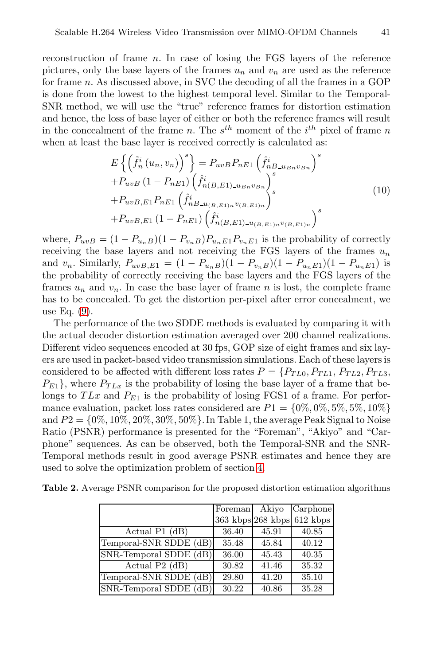reconstruction of frame n. In case of losing the FGS layers of the reference pictures, only the base layers of the frames  $u_n$  and  $v_n$  are used as the reference for frame n. As discussed above, in SVC the decoding of all the frames in a GOP is done from the lowest to the highest temporal level. Similar to the Temporal-SNR method, we will use the "true" reference frames for distortion estimation and hence, the loss of base layer of either or both the reference frames will result in the concealment of the frame n. The  $s^{th}$  moment of the  $i^{th}$  pixel of frame n when at least the base layer is received correctly is calculated as:

$$
E\left\{ \left( \tilde{f}_n^i (u_n, v_n) \right)^s \right\} = P_{uvB} P_{nE1} \left( \hat{f}_{nB \_u B n v_{Bn}}^i \right)^s
$$
  
+
$$
P_{uvB} (1 - P_{nE1}) \left( \hat{f}_{n(B,E1)\_u B n v_{Bn}}^i \right)^s
$$
  
+
$$
P_{uvB,E1} P_{nE1} \left( \hat{f}_{nB \_u (B,E1)n}^i v_{(B,E1)n} \right)^s
$$
  
+
$$
P_{uvB,E1} (1 - P_{nE1}) \left( \hat{f}_{n(B,E1)\_u (B,E1)n}^i v_{(B,E1)n} \right)^s
$$
  
(10)

where,  $P_{uvB} = (1 - P_{u_nB})(1 - P_{v_nB})P_{u_nE1}P_{v_nE1}$  is the probability of correctly receiving the base layers and not receiving the FGS layers of the frames  $u_n$ and  $v_n$ . Similarly,  $P_{uvB, E1} = (1 - P_{u_nB})(1 - P_{v_nB})(1 - P_{u_nE1})(1 - P_{u_nE1})$  is the probability of correctly receiving the base layers and the FGS layers of the frames  $u_n$  and  $v_n$ . In case the base layer of frame n is lost, the complete frame has to be concealed. To get the distortion per-pixel after error concealment, we use Eq. (9).

The performance of the two SDDE methods is evaluated by comparing it with the actual decoder distortion estimation averaged over 200 channel realizations. Different video sequences encoded at 30 fps, GOP size of eight frames and six layers are used in packet-based video transmission simulations. Each of these layers is considered to be affected with [di](#page-3-1)fferent loss rates  $P = \{P_{TL0}, P_{TL1}, P_{TL2}, P_{TL3}, P_{TL4}, P_{TL5}, P_{TL6}, P_{TL7}, P_{TL8}, P_{TL9}, P_{TL9}, P_{TL0}, P_{TL0}, P_{TL1}, P_{TL2}, P_{TL2}, P_{TL4}, P_{TL2}, P_{TL4}, P_{TL5}, P_{TL6}, P_{TL7}, P_{TL8}, P_{TL9}, P_{TL0}, P_{TL0}, P_{TL1}, P_{TL2}, P_{TL3}, P_{TL4}, P_{TL2}, P_{TL4}, P_{TL5$  $P_{E1}$ , where  $P_{TLx}$  is the probability of losing the base layer of a frame that belongs to  $TLx$  and  $P_{E1}$  is the probability of losing FGS1 of a frame. For performance evaluation, packet loss rates considered are  $P1 = \{0\%, 0\%, 5\%, 5\%, 10\%\}\$ and  $P2 = \{0\%, 10\%, 20\%, 30\%, 50\%\}$ . In Table 1, the average Peak Signal to Noise Ratio (PSNR) performance is presented for the "Foreman", "Akiyo" and "Carphone" sequences. As can be observed, both the Temporal-SNR and the SNR-Temporal methods result in good average PSNR estimates and hence they are used to solve the optimization problem of section 4.

| Table 2. Average PSNR comparison for the proposed distortion estimation algorithms |  |  |  |
|------------------------------------------------------------------------------------|--|--|--|
|                                                                                    |  |  |  |

|                        |       |       | Foreman Akiyo Carphone     |
|------------------------|-------|-------|----------------------------|
|                        |       |       | 363 kbps 268 kbps 612 kbps |
| Actual $P1$ (dB)       | 36.40 | 45.91 | 40.85                      |
| Temporal-SNR SDDE (dB) | 35.48 | 45.84 | 40.12                      |
| SNR-Temporal SDDE (dB) | 36.00 | 45.43 | 40.35                      |
| Actual $P2$ (dB)       | 30.82 | 41.46 | 35.32                      |
| Temporal-SNR SDDE (dB) | 29.80 | 41.20 | 35.10                      |
| SNR-Temporal SDDE (dB) | 30.22 | 40.86 | 35.28                      |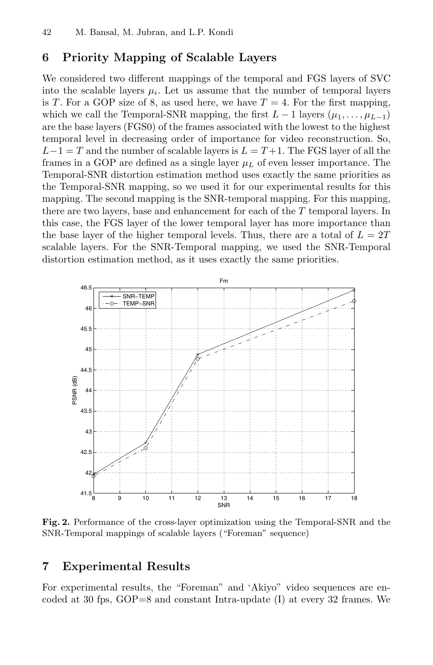# <span id="page-8-0"></span>**6 Priority Mapping of Scalable Layers**

We considered two different mappings of the temporal and FGS layers of SVC into the scalable layers  $\mu_i$ . Let us assume that the number of temporal layers is T. For a GOP size of 8, as used here, we have  $T = 4$ . For the first mapping, which we call the Temporal-SNR mapping, the first  $L-1$  layers  $(\mu_1,\ldots,\mu_{L-1})$ are the base layers (FGS0) of the frames associated with the lowest to the highest temporal level in decreasing order of importance for video reconstruction. So,  $L-1 = T$  and the number of scalable layers is  $L = T+1$ . The FGS layer of all the frames in a GOP are defined as a single layer  $\mu_L$  of even lesser importance. The Temporal-SNR distortion estimation method uses exactly the same priorities as the Temporal-SNR mapping, so we used it for our experimental results for this mapping. The second mapping is the SNR-temporal mapping. For this mapping, there are two layers, base and enhancement for each of the T temporal layers. In this case, the FGS layer of the lower temporal layer has more importance than the base layer of the higher temporal levels. Thus, there are a total of  $L = 2T$ scalable layers. For the SNR-Temporal mapping, we used the SNR-Temporal distortion estimation method, as it uses exactly the same priorities.



<span id="page-8-2"></span>**Fig. 2.** Performance of the cross-layer optimization using the Temporal-SNR and the SNR-Temporal mappings of scalable layers ("Foreman" sequence)

# <span id="page-8-1"></span>**7 Experimental Results**

For experimental results, the "Foreman" and 'Akiyo" video sequences are encoded at 30 fps, GOP=8 and constant Intra-update (I) at every 32 frames. We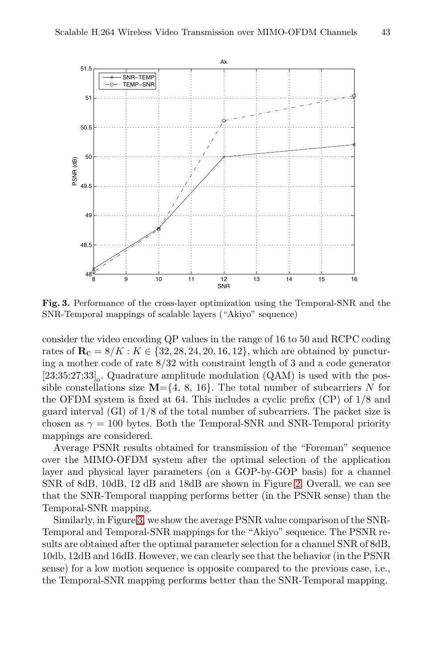

<span id="page-9-0"></span>**Fig. 3.** Performance of the cross-layer optimization using the Temporal-SNR and the SNR-Temporal mappings of scalable layers ("Akiyo" sequence)

consider the video encoding QP values in the range of 16 to 50 and RCPC coding rates of  $\mathbf{R}_c = 8/K : K \in \{32, 28, 24, 20, 16, 12\}$ , which are obtained by puncturing a mother code of rate 8/32 with constraint length of 3 and a code generator  $[23;35;27;33]$ . Quadrature amplitude modulation  $(QAM)$  is used with the possible constellations size  $M = \{4, 8, 16\}$ [. T](#page-8-2)he total number of subcarriers N for the OFDM system is fixed at 64. This includes a cyclic prefix (CP) of 1/8 and guard interval (GI) of 1/8 of the total number of subcarriers. The packet size is ch[os](#page-9-0)en as  $\gamma = 100$  bytes. Both the Temporal-SNR and SNR-Temporal priority mappings are considered.

Average PSNR results obtained for transmission of the "Foreman" sequence over the MIMO-OFDM system after the optimal selection of the application layer and physical layer parameters (on a GOP-by-GOP basis) for a channel SNR of 8dB, 10dB, 12 dB and 18dB are shown in Figure 2. Overall, we can see that the SNR-Temporal mapping performs better (in the PSNR sense) than the Temporal-SNR mapping.

Similarly, in Figure 3, we show the average PSNR value comparison of the SNR-Temporal and Temporal-SNR mappings for the "Akiyo" sequence. The PSNR results are obtained after the optimal parameter selection for a channel SNR of 8dB, 10db, 12dB and 16dB. However, we can clearly see that the behavior (in the PSNR sense) for a low motion sequence is opposite compared to the previous case, i.e., the Temporal-SNR mapping performs better than the SNR-Temporal mapping.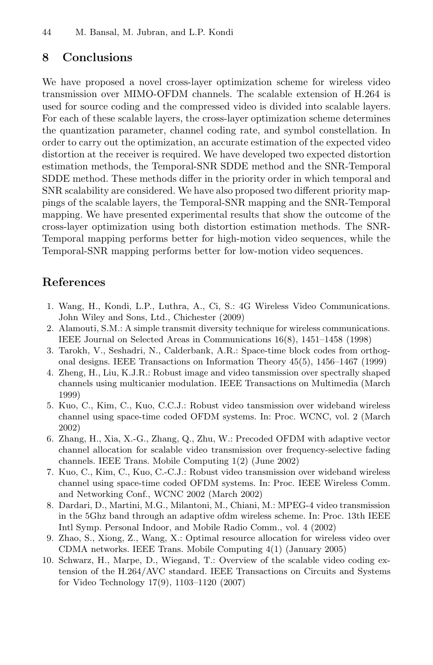# <span id="page-10-8"></span>**8 Conclusions**

We have proposed a novel cross-layer optimization scheme for wireless video transmission over MIMO-OFDM channels. The scalable extension of H.264 is used for source coding and the compressed video is divided into scalable layers. For each of these scalable layers, the cross-layer optimization scheme determines the quantization parameter, channel coding rate, and symbol constellation. In order to carry out the optimization, an accurate estimation of the expected video distortion at the receiver is required. We have developed two expected distortion estimation methods, the Temporal-SNR SDDE method and the SNR-Temporal SDDE method. These methods differ in the priority order in which temporal and SNR scalability are considered. We have also proposed two different priority mappings of the scalable layers, the Temporal-SNR mapping and the SNR-Temporal mapping. We have presented experimental results that show the outcome of the cross-layer optimization using both distortion estimation methods. The SNR-Temporal mapping performs better for high-motion video sequences, while the Temporal-SNR mapping performs better for low-motion video sequences.

# **References**

- 1. Wang, H., Kondi, L.P., Luthra, A., Ci, S.: 4G Wireless Video Communications. John Wiley and Sons, Ltd., Chichester (2009)
- <span id="page-10-0"></span>2. Alamouti, S.M.: A simple transmit diversity technique for wireless communications. IEEE Journal on Selected Areas in Communications 16(8), 1451–1458 (1998)
- <span id="page-10-1"></span>3. Tarokh, V., Seshadri, N., Calderbank, A.R.: Space-time block codes from orthogonal designs. IEEE Transactions on Information Theory 45(5), 1456–1467 (1999)
- <span id="page-10-2"></span>4. Zheng, H., Liu, K.J.R.: Robust image and video tansmission over spectrally shaped channels using multicanier modulation. IEEE Transactions on Multimedia (March 1999)
- <span id="page-10-3"></span>5. Kuo, C., Kim, C., Kuo, C.C.J.: Robust video tansmission over wideband wireless channel using space-time coded OFDM systems. In: Proc. WCNC, vol. 2 (March 2002)
- <span id="page-10-4"></span>6. Zhang, H., Xia, X.-G., Zhang, Q., Zhu, W.: Precoded OFDM with adaptive vector channel allocation for scalable video transmission over frequency-selective fading channels. IEEE Trans. Mobile Computing 1(2) (June 2002)
- <span id="page-10-5"></span>7. Kuo, C., Kim, C., Kuo, C.-C.J.: Robust video transmission over wideband wireless channel using space-time coded OFDM systems. In: Proc. IEEE Wireless Comm. and Networking Conf., WCNC 2002 (March 2002)
- <span id="page-10-6"></span>8. Dardari, D., Martini, M.G., Milantoni, M., Chiani, M.: MPEG-4 video transmission in the 5Ghz band through an adaptive ofdm wireless scheme. In: Proc. 13th IEEE Intl Symp. Personal Indoor, and Mobile Radio Comm., vol. 4 (2002)
- <span id="page-10-7"></span>9. Zhao, S., Xiong, Z., Wang, X.: Optimal resource allocation for wireless video over CDMA networks. IEEE Trans. Mobile Computing 4(1) (January 2005)
- 10. Schwarz, H., Marpe, D., Wiegand, T.: Overview of the scalable video coding extension of the H.264/AVC standard. IEEE Transactions on Circuits and Systems for Video Technology 17(9), 1103–1120 (2007)